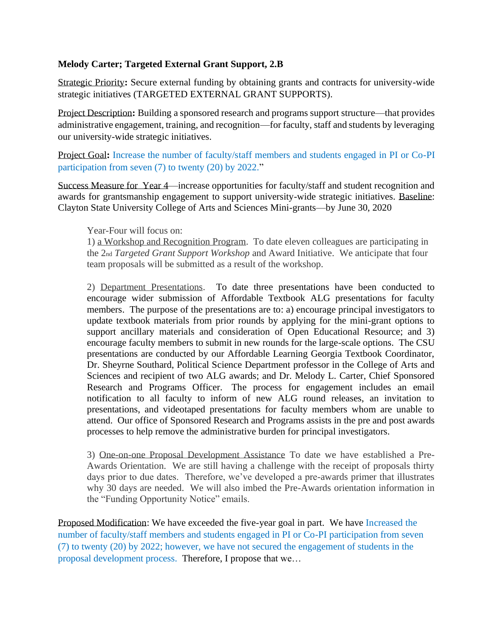## **Melody Carter; Targeted External Grant Support, 2.B**

Strategic Priority**:** Secure external funding by obtaining grants and contracts for university-wide strategic initiatives (TARGETED EXTERNAL GRANT SUPPORTS).

Project Description**:** Building a sponsored research and programs support structure—that provides administrative engagement, training, and recognition—for faculty, staff and students by leveraging our university-wide strategic initiatives.

Project Goal**:** Increase the number of faculty/staff members and students engaged in PI or Co-PI participation from seven (7) to twenty (20) by 2022."

Success Measure for Year 4—increase opportunities for faculty/staff and student recognition and awards for grantsmanship engagement to support university-wide strategic initiatives. Baseline: Clayton State University College of Arts and Sciences Mini-grants—by June 30, 2020

## Year-Four will focus on:

1) a Workshop and Recognition Program. To date eleven colleagues are participating in the 2nd *Targeted Grant Support Workshop* and Award Initiative. We anticipate that four team proposals will be submitted as a result of the workshop.

2) Department Presentations. To date three presentations have been conducted to encourage wider submission of Affordable Textbook ALG presentations for faculty members. The purpose of the presentations are to: a) encourage principal investigators to update textbook materials from prior rounds by applying for the mini-grant options to support ancillary materials and consideration of Open Educational Resource; and 3) encourage faculty members to submit in new rounds for the large-scale options. The CSU presentations are conducted by our Affordable Learning Georgia Textbook Coordinator, Dr. Sheyrne Southard, Political Science Department professor in the College of Arts and Sciences and recipient of two ALG awards; and Dr. Melody L. Carter, Chief Sponsored Research and Programs Officer. The process for engagement includes an email notification to all faculty to inform of new ALG round releases, an invitation to presentations, and videotaped presentations for faculty members whom are unable to attend. Our office of Sponsored Research and Programs assists in the pre and post awards processes to help remove the administrative burden for principal investigators.

3) One-on-one Proposal Development Assistance To date we have established a Pre-Awards Orientation. We are still having a challenge with the receipt of proposals thirty days prior to due dates. Therefore, we've developed a pre-awards primer that illustrates why 30 days are needed. We will also imbed the Pre-Awards orientation information in the "Funding Opportunity Notice" emails.

Proposed Modification: We have exceeded the five-year goal in part. We have Increased the number of faculty/staff members and students engaged in PI or Co-PI participation from seven (7) to twenty (20) by 2022; however, we have not secured the engagement of students in the proposal development process. Therefore, I propose that we…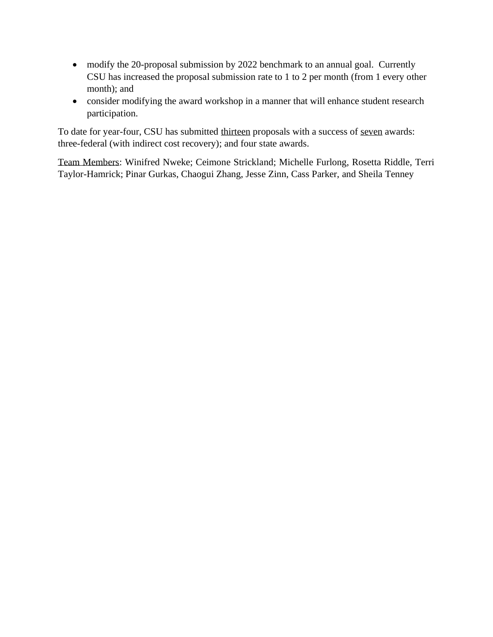- modify the 20-proposal submission by 2022 benchmark to an annual goal. Currently CSU has increased the proposal submission rate to 1 to 2 per month (from 1 every other month); and
- consider modifying the award workshop in a manner that will enhance student research participation.

To date for year-four, CSU has submitted thirteen proposals with a success of seven awards: three-federal (with indirect cost recovery); and four state awards.

Team Members: Winifred Nweke; Ceimone Strickland; Michelle Furlong, Rosetta Riddle, Terri Taylor-Hamrick; Pinar Gurkas, Chaogui Zhang, Jesse Zinn, Cass Parker, and Sheila Tenney